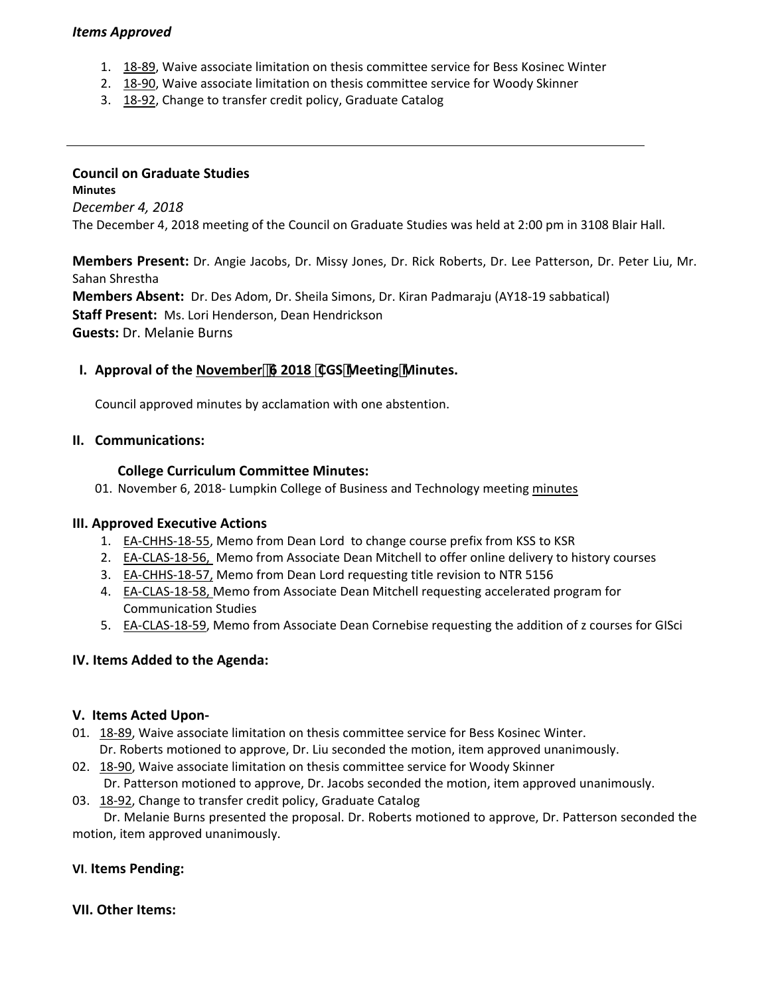## *Items Approved*

- 1. 18‐[89,](http://castle.eiu.edu/eiucgs/currentagendaitems/agenda18-89.pdf) Waive associate limitation on thesis committee service for Bess Kosinec Winter
- 2. 18‐[90,](http://castle.eiu.edu/eiucgs/currentagendaitems/agenda18-90.pdf) Waive associate limitation on thesis committee service for Woody Skinner
- 3. 18‐[92,](http://castle.eiu.edu/eiucgs/currentagendaitems/agenda18-92.pdf) Change to transfer credit policy, Graduate Catalog

#### **Council on Graduate Studies Minutes**

*December 4, 2018* The December 4, 2018 meeting of the Council on Graduate Studies was held at 2:00 pm in 3108 Blair Hall.

**Members Present:** Dr. Angie Jacobs, Dr. Missy Jones, Dr. Rick Roberts, Dr. Lee Patterson, Dr. Peter Liu, Mr. Sahan Shrestha **Members Absent:** Dr. Des Adom, Dr. Sheila Simons, Dr. Kiran Padmaraju (AY18‐19 sabbatical) **Staff Present:** Ms. Lori Henderson, Dean Hendrickson **Guests:** Dr. Melanie Burns

# **I. Approval of the [November](http://castle.eiu.edu/eiucgs/currentminutes/Minutes11-06-18.pdf)͕6 2018 CGSMeetingMinutes.**

Council approved minutes by acclamation with one abstention.

## **II. Communications:**

## **College Curriculum Committee Minutes:**

01. November 6, 2018- Lumpkin College of Business and Technology meeting [minutes](https://www.eiu.edu/lumpkin/curriculum/lcbatcurrmin20181106.pdf)

#### **III. Approved Executive Actions**

- 1. EA‐[CHHS](http://castle.eiu.edu/eiucgs/exec-actions/EA-CHHS-18-55.pdf)‐18‐55, Memo from Dean Lord to change course prefix from KSS to KSR
- 2. EA-[CLAS](http://castle.eiu.edu/eiucgs/exec-actions/EA-CLAS-18-56.pdf)-18-56, Memo from Associate Dean Mitchell to offer online delivery to history courses
- 3. EA-[CHHS](http://castle.eiu.edu/eiucgs/exec-actions/EA-CHHS-18-57.pdf)-18-57, Memo from Dean Lord requesting title revision to NTR 5156
- 4. **EA-[CLAS](http://castle.eiu.edu/eiucgs/exec-actions/EA-CLAS-18-58.pdf)-18-58, Memo from Associate Dean Mitchell requesting accelerated program for** Communication Studies
- 5. EA-[CLAS](http://castle.eiu.edu/eiucgs/exec-actions/EA-CLAS-18-59.pdf)-18-59, Memo from Associate Dean Cornebise requesting the addition of z courses for GISci

## **IV. Items Added to the Agenda:**

#### **V. Items Acted Upon‐**

- 01. 18‐[89,](http://castle.eiu.edu/eiucgs/currentagendaitems/agenda18-89.pdf) Waive associate limitation on thesis committee service for Bess Kosinec Winter. Dr. Roberts motioned to approve, Dr. Liu seconded the motion, item approved unanimously.
- 02. 18-[90,](http://castle.eiu.edu/eiucgs/currentagendaitems/agenda18-90.pdf) Waive associate limitation on thesis committee service for Woody Skinner

Dr. Patterson motioned to approve, Dr. Jacobs seconded the motion, item approved unanimously.

03. 18‐[92,](http://castle.eiu.edu/eiucgs/currentagendaitems/agenda18-92.pdf) Change to transfer credit policy, Graduate Catalog

 Dr. Melanie Burns presented the proposal. Dr. Roberts motioned to approve, Dr. Patterson seconded the motion, item approved unanimously.

## **VI**. **Items Pending:**

## **VII. Other Items:**